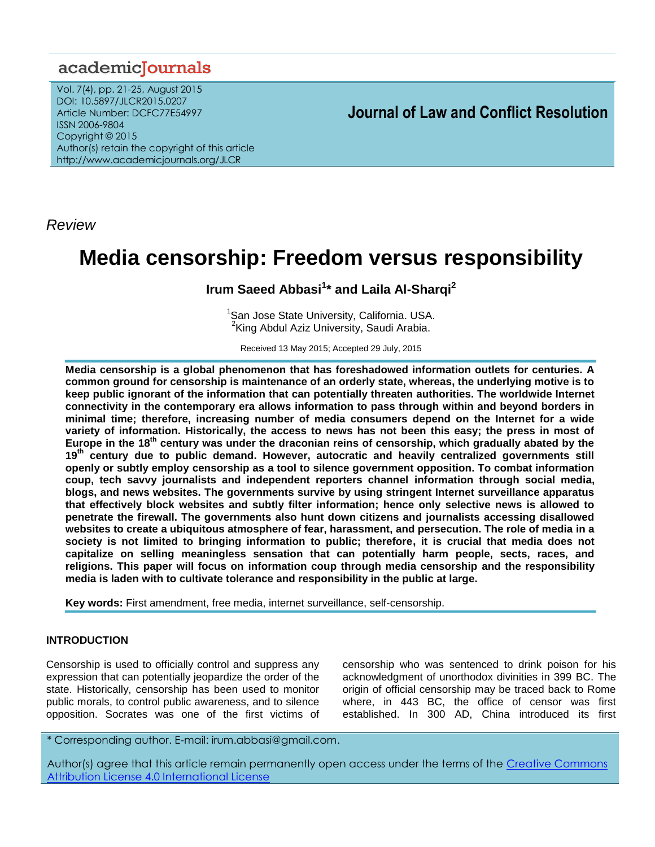## academicJournals

Vol. 7(4), pp. 21-25, August 2015 DOI: 10.5897/JLCR2015.0207 Article Number: DCFC77E54997 ISSN 2006-9804 Copyright © 2015 Author(s) retain the copyright of this article http://www.academicjournals.org/JLCR

## **Journal of Law and Conflict Resolution**

*Review*

# **Media censorship: Freedom versus responsibility**

### **Irum Saeed Abbasi<sup>1</sup> \* and Laila Al-Sharqi<sup>2</sup>**

<sup>1</sup>San Jose State University, California. USA. <sup>2</sup>King Abdul Aziz University, Saudi Arabia.

Received 13 May 2015; Accepted 29 July, 2015

**Media censorship is a global phenomenon that has foreshadowed information outlets for centuries. A common ground for censorship is maintenance of an orderly state, whereas, the underlying motive is to keep public ignorant of the information that can potentially threaten authorities. The worldwide Internet connectivity in the contemporary era allows information to pass through within and beyond borders in minimal time; therefore, increasing number of media consumers depend on the Internet for a wide variety of information. Historically, the access to news has not been this easy; the press in most of Europe in the 18th century was under the draconian reins of censorship, which gradually abated by the 19th century due to public demand. However, autocratic and heavily centralized governments still openly or subtly employ censorship as a tool to silence government opposition. To combat information coup, tech savvy journalists and independent reporters channel information through social media, blogs, and news websites. The governments survive by using stringent Internet surveillance apparatus that effectively block websites and subtly filter information; hence only selective news is allowed to penetrate the firewall. The governments also hunt down citizens and journalists accessing disallowed websites to create a ubiquitous atmosphere of fear, harassment, and persecution. The role of media in a society is not limited to bringing information to public; therefore, it is crucial that media does not capitalize on selling meaningless sensation that can potentially harm people, sects, races, and religions. This paper will focus on information coup through media censorship and the responsibility media is laden with to cultivate tolerance and responsibility in the public at large.**

**Key words:** First amendment, free media, internet surveillance, self-censorship.

#### **INTRODUCTION**

Censorship is used to officially control and suppress any expression that can potentially jeopardize the order of the state. Historically, censorship has been used to monitor public morals, to control public awareness, and to silence opposition. Socrates was one of the first victims of censorship who was sentenced to drink poison for his acknowledgment of unorthodox divinities in 399 BC. The origin of official censorship may be traced back to Rome where, in 443 BC, the office of censor was first established. In 300 AD, China introduced its first

\* Corresponding author. E-mail: irum.abbasi@gmail.com.

Author(s) agree that this article remain permanently open access under the terms of the Creative Commons [Attribution License 4.0 International License](http://creativecommons.org/licenses/by/4.0/deed.en_US)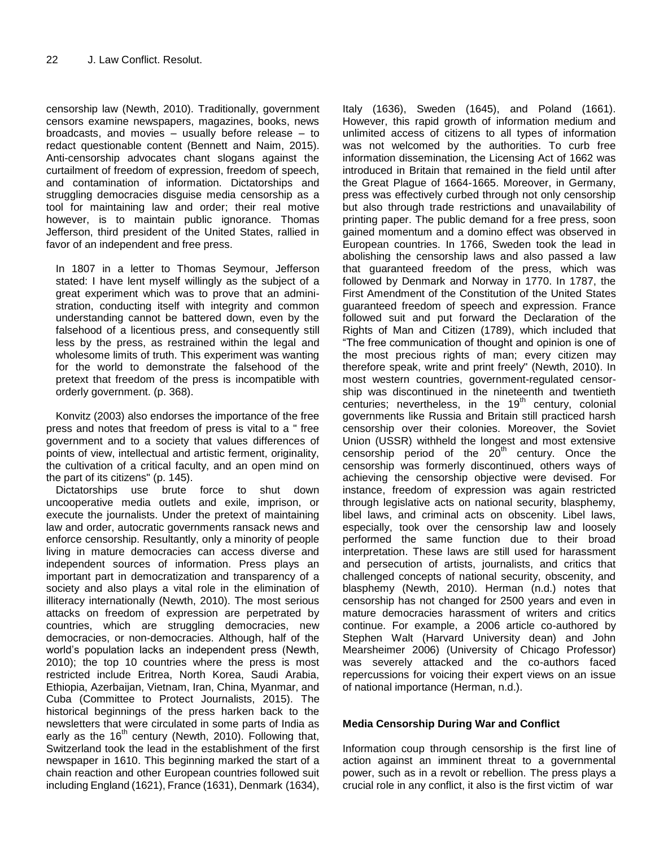censorship law (Newth, 2010). Traditionally, government censors examine newspapers, magazines, books, news broadcasts, and movies – usually before release – to redact questionable content (Bennett and Naim, 2015). Anti-censorship advocates chant slogans against the curtailment of freedom of expression, freedom of speech, and contamination of information. Dictatorships and struggling democracies disguise media censorship as a tool for maintaining law and order; their real motive however, is to maintain public ignorance. Thomas Jefferson, third president of the United States, rallied in favor of an independent and free press.

In 1807 in a letter to Thomas Seymour, Jefferson stated: I have lent myself willingly as the subject of a great experiment which was to prove that an administration, conducting itself with integrity and common understanding cannot be battered down, even by the falsehood of a licentious press, and consequently still less by the press, as restrained within the legal and wholesome limits of truth. This experiment was wanting for the world to demonstrate the falsehood of the pretext that freedom of the press is incompatible with orderly government. (p. 368).

Konvitz (2003) also endorses the importance of the free press and notes that freedom of press is vital to a " free government and to a society that values differences of points of view, intellectual and artistic ferment, originality, the cultivation of a critical faculty, and an open mind on the part of its citizens" (p. 145).

Dictatorships use brute force to shut down uncooperative media outlets and exile, imprison, or execute the journalists. Under the pretext of maintaining law and order, autocratic governments ransack news and enforce censorship. Resultantly, only a minority of people living in mature democracies can access diverse and independent sources of information. Press plays an important part in democratization and transparency of a society and also plays a vital role in the elimination of illiteracy internationally (Newth, 2010). The most serious attacks on freedom of expression are perpetrated by countries, which are struggling democracies, new democracies, or non-democracies. Although, half of the world"s population lacks an independent press (Newth, 2010); the top 10 countries where the press is most restricted include Eritrea, North Korea, Saudi Arabia, Ethiopia, Azerbaijan, Vietnam, Iran, China, Myanmar, and Cuba (Committee to Protect Journalists, 2015). The historical beginnings of the press harken back to the newsletters that were circulated in some parts of India as early as the  $16<sup>th</sup>$  century (Newth, 2010). Following that, Switzerland took the lead in the establishment of the first newspaper in 1610. This beginning marked the start of a chain reaction and other European countries followed suit including England (1621), France (1631), Denmark (1634),

Italy (1636), Sweden (1645), and Poland (1661). However, this rapid growth of information medium and unlimited access of citizens to all types of information was not welcomed by the authorities. To curb free information dissemination, the Licensing Act of 1662 was introduced in Britain that remained in the field until after the Great Plague of 1664-1665. Moreover, in Germany, press was effectively curbed through not only censorship but also through trade restrictions and unavailability of printing paper. The public demand for a free press, soon gained momentum and a domino effect was observed in European countries. In 1766, Sweden took the lead in abolishing the censorship laws and also passed a law that guaranteed freedom of the press, which was followed by Denmark and Norway in 1770. In 1787, the First Amendment of the Constitution of the United States guaranteed freedom of speech and expression. France followed suit and put forward the Declaration of the Rights of Man and Citizen (1789), which included that "The free communication of thought and opinion is one of the most precious rights of man; every citizen may therefore speak, write and print freely" (Newth, 2010). In most western countries, government-regulated censorship was discontinued in the nineteenth and twentieth centuries; nevertheless, in the  $19<sup>th</sup>$  century, colonial governments like Russia and Britain still practiced harsh censorship over their colonies. Moreover, the Soviet Union (USSR) withheld the longest and most extensive censorship period of the  $20<sup>th</sup>$  century. Once the censorship was formerly discontinued, others ways of achieving the censorship objective were devised. For instance, freedom of expression was again restricted through legislative acts on national security, blasphemy, libel laws, and criminal acts on obscenity. Libel laws, especially, took over the censorship law and loosely performed the same function due to their broad interpretation. These laws are still used for harassment and persecution of artists, journalists, and critics that challenged concepts of national security, obscenity, and blasphemy (Newth, 2010). Herman (n.d.) notes that censorship has not changed for 2500 years and even in mature democracies harassment of writers and critics continue. For example, a 2006 article co-authored by Stephen Walt (Harvard University dean) and John Mearsheimer 2006) (University of Chicago Professor) was severely attacked and the co-authors faced repercussions for voicing their expert views on an issue of national importance (Herman, n.d.).

#### **Media Censorship During War and Conflict**

Information coup through censorship is the first line of action against an imminent threat to a governmental power, such as in a revolt or rebellion. The press plays a crucial role in any conflict, it also is the first victim of war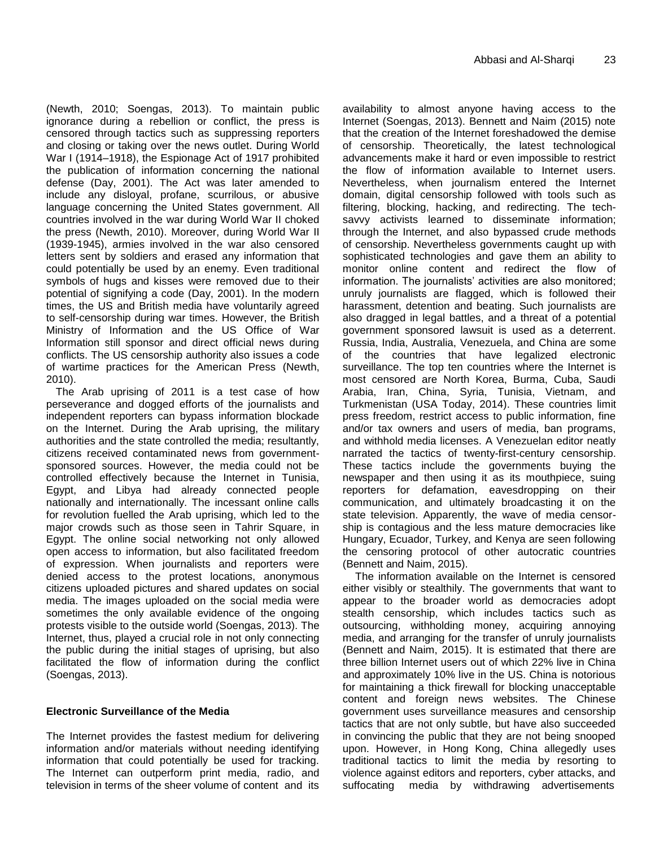(Newth, 2010; Soengas, 2013). To maintain public ignorance during a rebellion or conflict, the press is censored through tactics such as suppressing reporters and closing or taking over the news outlet. During World War I (1914–1918), the Espionage Act of 1917 prohibited the publication of information concerning the national defense (Day, 2001). The Act was later amended to include any disloyal, profane, scurrilous, or abusive language concerning the United States government. All countries involved in the war during World War II choked the press (Newth, 2010). Moreover, during World War II (1939-1945), armies involved in the war also censored letters sent by soldiers and erased any information that could potentially be used by an enemy. Even traditional symbols of hugs and kisses were removed due to their potential of signifying a code (Day, 2001). In the modern times, the US and British media have voluntarily agreed to self-censorship during war times. However, the British Ministry of Information and the US Office of War Information still sponsor and direct official news during conflicts. The US censorship authority also issues a code of wartime practices for the American Press (Newth, 2010).

The Arab uprising of 2011 is a test case of how perseverance and dogged efforts of the journalists and independent reporters can bypass information blockade on the Internet. During the Arab uprising, the military authorities and the state controlled the media; resultantly, citizens received contaminated news from governmentsponsored sources. However, the media could not be controlled effectively because the Internet in Tunisia, Egypt, and Libya had already connected people nationally and internationally. The incessant online calls for revolution fuelled the Arab uprising, which led to the major crowds such as those seen in Tahrir Square, in Egypt. The online social networking not only allowed open access to information, but also facilitated freedom of expression. When journalists and reporters were denied access to the protest locations, anonymous citizens uploaded pictures and shared updates on social media. The images uploaded on the social media were sometimes the only available evidence of the ongoing protests visible to the outside world (Soengas, 2013). The Internet, thus, played a crucial role in not only connecting the public during the initial stages of uprising, but also facilitated the flow of information during the conflict (Soengas, 2013).

#### **Electronic Surveillance of the Media**

The Internet provides the fastest medium for delivering information and/or materials without needing identifying information that could potentially be used for tracking. The Internet can outperform print media, radio, and television in terms of the sheer volume of content and its

availability to almost anyone having access to the Internet (Soengas, 2013). Bennett and Naim (2015) note that the creation of the Internet foreshadowed the demise of censorship. Theoretically, the latest technological advancements make it hard or even impossible to restrict the flow of information available to Internet users. Nevertheless, when journalism entered the Internet domain, digital censorship followed with tools such as filtering, blocking, hacking, and redirecting. The techsavvy activists learned to disseminate information; through the Internet, and also bypassed crude methods of censorship. Nevertheless governments caught up with sophisticated technologies and gave them an ability to monitor online content and redirect the flow of information. The journalists' activities are also monitored; unruly journalists are flagged, which is followed their harassment, detention and beating. Such journalists are also dragged in legal battles, and a threat of a potential government sponsored lawsuit is used as a deterrent. Russia, India, Australia, Venezuela, and China are some of the countries that have legalized electronic surveillance. The top ten countries where the Internet is most censored are North Korea, Burma, Cuba, Saudi Arabia, Iran, China, Syria, Tunisia, Vietnam, and Turkmenistan (USA Today, 2014). These countries limit press freedom, restrict access to public information, fine and/or tax owners and users of media, ban programs, and withhold media licenses. A Venezuelan editor neatly narrated the tactics of twenty-first-century censorship. These tactics include the governments buying the newspaper and then using it as its mouthpiece, suing reporters for defamation, eavesdropping on their communication, and ultimately broadcasting it on the state television. Apparently, the wave of media censorship is contagious and the less mature democracies like Hungary, Ecuador, Turkey, and Kenya are seen following the censoring protocol of other autocratic countries (Bennett and Naim, 2015).

The information available on the Internet is censored either visibly or stealthily. The governments that want to appear to the broader world as democracies adopt stealth censorship, which includes tactics such as outsourcing, withholding money, acquiring annoying media, and arranging for the transfer of unruly journalists (Bennett and Naim, 2015). It is estimated that there are three billion Internet users out of which 22% live in China and approximately 10% live in the US. China is notorious for maintaining a thick firewall for blocking unacceptable content and foreign news websites. The Chinese government uses surveillance measures and censorship tactics that are not only subtle, but have also succeeded in convincing the public that they are not being snooped upon. However, in Hong Kong, China allegedly uses traditional tactics to limit the media by resorting to violence against editors and reporters, cyber attacks, and suffocating media by withdrawing advertisements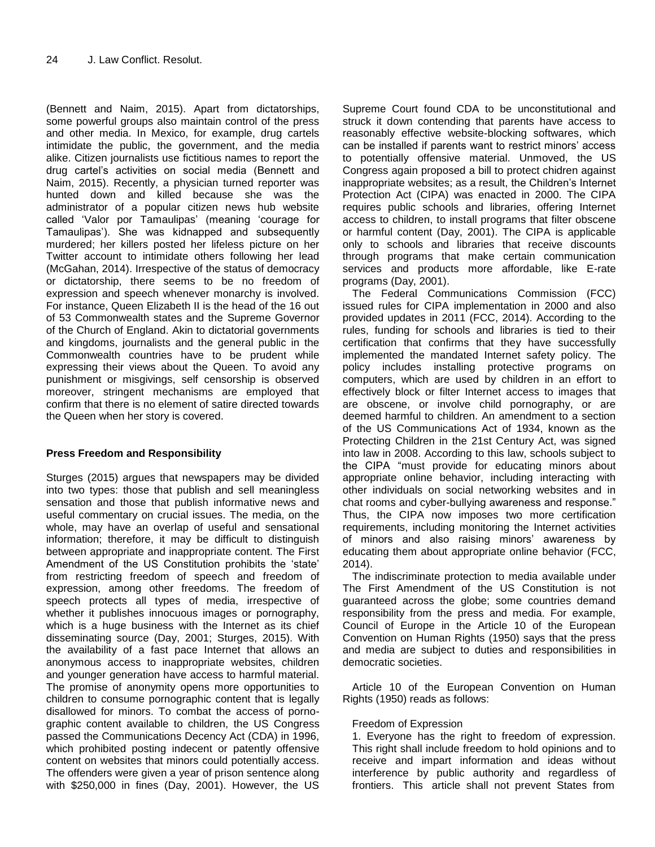(Bennett and Naim, 2015). Apart from dictatorships, some powerful groups also maintain control of the press and other media. In Mexico, for example, drug cartels intimidate the public, the government, and the media alike. Citizen journalists use fictitious names to report the drug cartel"s activities on social media (Bennett and Naim, 2015). Recently, a physician turned reporter was hunted down and killed because she was the administrator of a popular citizen news hub website called ["Valor por Tamaulipas"](https://twitter.com/ValorTamaulipas) (meaning "courage for Tamaulipas"). She was kidnapped and subsequently murdered; her killers posted her lifeless picture on her Twitter account to intimidate others following her lead (McGahan, 2014). Irrespective of the status of democracy or dictatorship, there seems to be no freedom of expression and speech whenever monarchy is involved. For instance, Queen Elizabeth II is the head of the 16 out of 53 Commonwealth states and the [Supreme Governor](http://en.wikipedia.org/wiki/Supreme_Governor_of_the_Church_of_England)  [of the Church of England.](http://en.wikipedia.org/wiki/Supreme_Governor_of_the_Church_of_England) Akin to dictatorial governments and kingdoms, journalists and the general public in the Commonwealth countries have to be prudent while expressing their views about the Queen. To avoid any punishment or misgivings, self censorship is observed moreover, stringent mechanisms are employed that confirm that there is no element of satire directed towards the Queen when her story is covered.

#### **Press Freedom and Responsibility**

Sturges (2015) argues that newspapers may be divided into two types: those that publish and sell meaningless sensation and those that publish informative news and useful commentary on crucial issues. The media, on the whole, may have an overlap of useful and sensational information; therefore, it may be difficult to distinguish between appropriate and inappropriate content. The First Amendment of the US Constitution prohibits the "state" from restricting freedom of speech and freedom of expression, among other freedoms. The freedom of speech protects all types of media, irrespective of whether it publishes innocuous images or pornography, which is a huge business with the Internet as its chief disseminating source (Day, 2001; Sturges, 2015). With the availability of a fast pace Internet that allows an anonymous access to inappropriate websites, children and younger generation have access to harmful material. The promise of anonymity opens more opportunities to children to consume pornographic content that is legally disallowed for minors. To combat the access of pornographic content available to children, the US Congress passed the Communications Decency Act (CDA) in 1996, which prohibited posting indecent or patently offensive content on websites that minors could potentially access. The offenders were given a year of prison sentence along with \$250,000 in fines (Day, 2001). However, the US

Supreme Court found CDA to be unconstitutional and struck it down contending that parents have access to reasonably effective website-blocking softwares, which can be installed if parents want to restrict minors' access to potentially offensive material. Unmoved, the US Congress again proposed a bill to protect chidren against inappropriate websites; as a result, the Children"s Internet Protection Act (CIPA) was enacted in 2000. The CIPA requires public schools and libraries, offering Internet access to children, to install programs that filter obscene or harmful content (Day, 2001). The CIPA is applicable only to schools and libraries that receive discounts through programs that make certain communication services and products more affordable, like E-rate programs (Day, 2001).

The Federal Communications Commission (FCC) issued rules for CIPA implementation in 2000 and also provided updates in 2011 (FCC, 2014). According to the rules, funding for schools and libraries is tied to their certification that confirms that they have successfully implemented the mandated Internet safety policy. The policy includes installing protective programs on computers, which are used by children in an effort to effectively block or filter Internet access to images that are obscene, or involve child pornography, or are deemed harmful to children. An amendment to a section of the US Communications Act of 1934, known as the Protecting Children in the 21st Century Act, was signed into law in 2008. According to this law, schools subject to the CIPA "must provide for educating minors about appropriate online behavior, including interacting with other individuals on social networking websites and in chat rooms and cyber-bullying awareness and response." Thus, the CIPA now imposes two more certification requirements, including monitoring the Internet activities of minors and also raising minors" awareness by educating them about appropriate online behavior (FCC, 2014).

The indiscriminate protection to media available under The First Amendment of the US Constitution is not guaranteed across the globe; some countries demand responsibility from the press and media. For example, Council of Europe in the Article 10 of the European Convention on Human Rights (1950) says that the press and media are subject to duties and responsibilities in democratic societies.

Article 10 of the European Convention on Human Rights (1950) reads as follows:

#### Freedom of Expression

1. Everyone has the right to freedom of expression. This right shall include freedom to hold opinions and to receive and impart information and ideas without interference by public authority and regardless of frontiers. This article shall not prevent States from